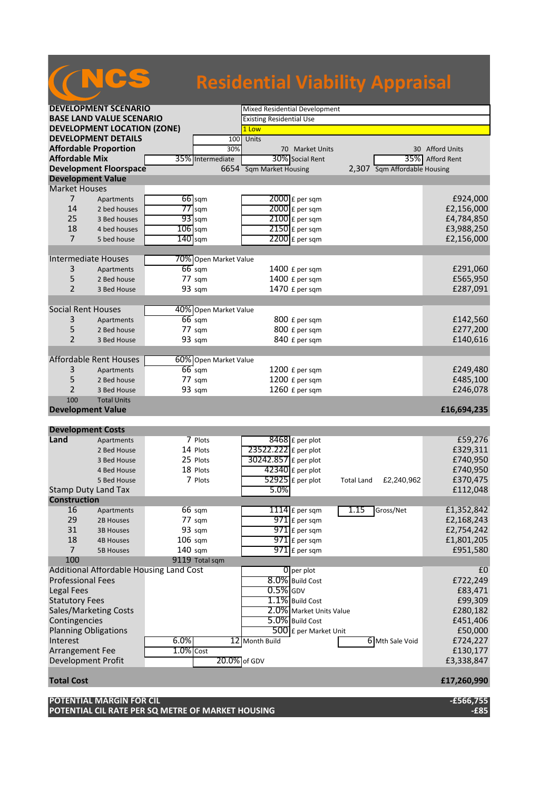## **Residential Viability Appraisal**

|                                    | <b>DEVELOPMENT SCENARIO</b>             |              |                       |                                 | Mixed Residential Development              |                   |                              |                    |  |  |
|------------------------------------|-----------------------------------------|--------------|-----------------------|---------------------------------|--------------------------------------------|-------------------|------------------------------|--------------------|--|--|
| <b>BASE LAND VALUE SCENARIO</b>    |                                         |              |                       | <b>Existing Residential Use</b> |                                            |                   |                              |                    |  |  |
| <b>DEVELOPMENT LOCATION (ZONE)</b> |                                         |              |                       | 1 Low                           |                                            |                   |                              |                    |  |  |
| <b>DEVELOPMENT DETAILS</b>         |                                         |              | 100                   | Units                           |                                            |                   |                              |                    |  |  |
|                                    | <b>Affordable Proportion</b>            |              | 30%                   |                                 | 70 Market Units                            |                   |                              | 30 Afford Units    |  |  |
| <b>Affordable Mix</b>              |                                         |              | 35% Intermediate      |                                 | 30% Social Rent                            |                   | 35%                          | <b>Afford Rent</b> |  |  |
| <b>Development Floorspace</b>      |                                         |              |                       | 6654 Sqm Market Housing         |                                            |                   | 2,307 Sqm Affordable Housing |                    |  |  |
|                                    | <b>Development Value</b>                |              |                       |                                 |                                            |                   |                              |                    |  |  |
| <b>Market Houses</b>               |                                         |              |                       |                                 |                                            |                   |                              |                    |  |  |
| $\overline{7}$                     | Apartments                              |              | 66 sqm                |                                 | 2000 £ per sqm                             |                   |                              | £924,000           |  |  |
| 14                                 | 2 bed houses                            |              | $77$ sqm              |                                 | $2000$ £ per sqm                           |                   |                              | £2,156,000         |  |  |
| 25                                 | 3 Bed houses                            |              | $93$ sqm              |                                 | 2100 £ per sqm                             |                   |                              | £4,784,850         |  |  |
| 18                                 | 4 bed houses                            | $106$ sqm    |                       |                                 | $2150$ £ per sqm                           |                   |                              | £3,988,250         |  |  |
| $\overline{7}$                     | 5 bed house                             | $140$ sqm    |                       |                                 | 2200 £ per sqm                             |                   |                              | £2,156,000         |  |  |
|                                    |                                         |              |                       |                                 |                                            |                   |                              |                    |  |  |
|                                    | Intermediate Houses                     |              | 70% Open Market Value |                                 |                                            |                   |                              |                    |  |  |
| 3                                  | Apartments                              |              | $66$ sqm              |                                 | 1400 £ per sqm                             |                   |                              | £291,060           |  |  |
| 5                                  | 2 Bed house                             |              | 77 sqm                |                                 | 1400 £ per sqm                             |                   |                              | £565,950           |  |  |
| $\overline{2}$                     | 3 Bed House                             |              | 93 sqm                |                                 | 1470 £ per sqm                             |                   |                              | £287,091           |  |  |
|                                    |                                         |              |                       |                                 |                                            |                   |                              |                    |  |  |
|                                    | <b>Social Rent Houses</b>               |              | 40% Open Market Value |                                 |                                            |                   |                              |                    |  |  |
| 3                                  | Apartments                              |              | $66$ sqm              |                                 | 800 £ per sqm                              |                   |                              | £142,560           |  |  |
| 5                                  | 2 Bed house                             |              | 77 sqm                |                                 | 800 £ per sqm                              |                   |                              | £277,200           |  |  |
| $\overline{2}$                     | 3 Bed House                             |              | 93 sqm                |                                 | 840 £ per sqm                              |                   |                              | £140,616           |  |  |
|                                    |                                         |              |                       |                                 |                                            |                   |                              |                    |  |  |
|                                    | <b>Affordable Rent Houses</b>           |              | 60% Open Market Value |                                 |                                            |                   |                              |                    |  |  |
| 3                                  | Apartments                              |              | $66$ sqm              |                                 | 1200 £ per sqm                             |                   |                              | £249,480           |  |  |
| 5                                  | 2 Bed house                             |              | 77 sqm                |                                 | 1200 £ per sqm                             |                   |                              | £485,100           |  |  |
| $\overline{2}$                     | 3 Bed House                             |              | 93 sqm                |                                 | 1260 £ per sqm                             |                   |                              | £246,078           |  |  |
| 100                                | <b>Total Units</b>                      |              |                       |                                 |                                            |                   |                              |                    |  |  |
|                                    | <b>Development Value</b>                |              |                       |                                 |                                            |                   |                              | £16,694,235        |  |  |
|                                    |                                         |              |                       |                                 |                                            |                   |                              |                    |  |  |
|                                    |                                         |              |                       |                                 |                                            |                   |                              |                    |  |  |
|                                    | <b>Development Costs</b>                |              |                       |                                 |                                            |                   |                              |                    |  |  |
| Land                               | Apartments                              |              | 7 Plots               |                                 | 8468 £ per plot                            |                   |                              | £59,276            |  |  |
|                                    | 2 Bed House                             |              | 14 Plots              | 23522.222 £ per plot            |                                            |                   |                              | £329,311           |  |  |
|                                    | 3 Bed House                             |              | 25 Plots              | 30242.857 £ per plot            |                                            |                   |                              | £740,950           |  |  |
|                                    | 4 Bed House                             |              | 18 Plots              |                                 | $42340$ £ per plot                         |                   |                              | £740,950           |  |  |
|                                    | 5 Bed House                             |              | 7 Plots               |                                 | $52925$ £ per plot                         | <b>Total Land</b> | £2,240,962                   | £370,475           |  |  |
|                                    | <b>Stamp Duty Land Tax</b>              |              |                       | 5.0%                            |                                            |                   |                              | £112,048           |  |  |
| <b>Construction</b>                |                                         |              |                       |                                 |                                            |                   |                              |                    |  |  |
| 16                                 | Apartments                              |              | 66 sqm                |                                 | 1114 $E$ per sqm                           | 1.15              | Gross/Net                    | £1,352,842         |  |  |
| 29                                 | 2B Houses                               |              | 77 sgm                |                                 | 971 £ per sqm                              |                   |                              | £2,168,243         |  |  |
| 31                                 | <b>3B Houses</b>                        |              | 93 sqm                |                                 |                                            |                   |                              | £2,754,242         |  |  |
| 18                                 | <b>4B Houses</b>                        | $106$ sqm    |                       |                                 | $971$ £ per sqm<br>$971$ $E$ per sqm       |                   |                              | £1,801,205         |  |  |
| $\overline{7}$                     | <b>5B Houses</b>                        | 140 sqm      |                       |                                 | $971$ £ per sqm                            |                   |                              | £951,580           |  |  |
| 100                                |                                         |              | 9119 Total sqm        |                                 |                                            |                   |                              |                    |  |  |
|                                    | Additional Affordable Housing Land Cost |              |                       |                                 | $\overline{0}$ per plot                    |                   |                              | £0                 |  |  |
| <b>Professional Fees</b>           |                                         |              |                       |                                 | 8.0% Build Cost                            |                   |                              | £722,249           |  |  |
| <b>Legal Fees</b>                  |                                         |              |                       | $0.5\%$ GDV                     |                                            |                   |                              | £83,471            |  |  |
| <b>Statutory Fees</b>              |                                         |              |                       |                                 |                                            |                   |                              | £99,309            |  |  |
|                                    |                                         |              |                       |                                 | 1.1% Build Cost                            |                   |                              | £280,182           |  |  |
| Contingencies                      | Sales/Marketing Costs                   |              |                       |                                 | 2.0% Market Units Value<br>5.0% Build Cost |                   |                              | £451,406           |  |  |
|                                    | <b>Planning Obligations</b>             |              |                       |                                 | 500 £ per Market Unit                      |                   |                              | £50,000            |  |  |
| Interest                           |                                         | 6.0%         |                       | 12 Month Build                  |                                            |                   | 6 Mth Sale Void              | £724,227           |  |  |
| Arrangement Fee                    |                                         | $1.0\%$ Cost |                       |                                 |                                            |                   |                              | £130,177           |  |  |
|                                    | Development Profit                      |              | 20.0% of GDV          |                                 |                                            |                   |                              | £3,338,847         |  |  |
|                                    |                                         |              |                       |                                 |                                            |                   |                              |                    |  |  |
| <b>Total Cost</b>                  |                                         |              |                       |                                 |                                            |                   |                              | £17,260,990        |  |  |
|                                    | <b>POTENTIAL MARGIN FOR CIL</b>         |              |                       |                                 |                                            |                   |                              | $-£566,755$        |  |  |

**POTENTIAL CIL RATE PER SQ METRE OF MARKET HOUSING -£85**

**CNCS**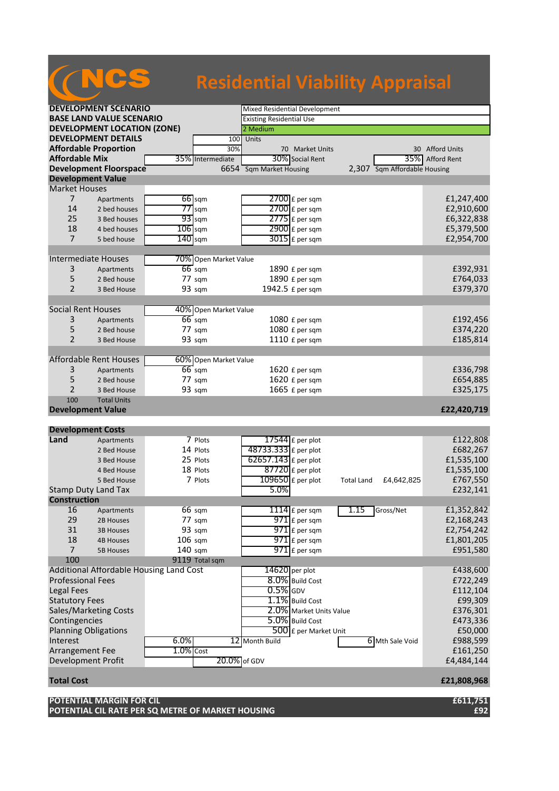## **Residential Viability Appraisal**

| <b>DEVELOPMENT SCENARIO</b>        |                                         |              |                         | Mixed Residential Development   |                     |                              |            |                    |  |
|------------------------------------|-----------------------------------------|--------------|-------------------------|---------------------------------|---------------------|------------------------------|------------|--------------------|--|
| <b>BASE LAND VALUE SCENARIO</b>    |                                         |              |                         | <b>Existing Residential Use</b> |                     |                              |            |                    |  |
| <b>DEVELOPMENT LOCATION (ZONE)</b> |                                         |              |                         | 2 Medium                        |                     |                              |            |                    |  |
| <b>DEVELOPMENT DETAILS</b><br>100  |                                         |              | Units                   |                                 |                     |                              |            |                    |  |
| <b>Affordable Proportion</b>       |                                         |              | 30%                     |                                 | 70 Market Units     |                              |            | 30 Afford Units    |  |
| <b>Affordable Mix</b>              |                                         |              | 35% Intermediate        |                                 | 30% Social Rent     |                              | 35%        | <b>Afford Rent</b> |  |
| <b>Development Floorspace</b>      |                                         |              | 6654 Sqm Market Housing |                                 |                     | 2,307 Sqm Affordable Housing |            |                    |  |
| <b>Development Value</b>           |                                         |              |                         |                                 |                     |                              |            |                    |  |
| <b>Market Houses</b>               |                                         |              |                         |                                 |                     |                              |            |                    |  |
| $\overline{7}$                     | Apartments                              |              | $66$ sqm                |                                 | 2700 £ per sqm      |                              |            | £1,247,400         |  |
| 14                                 | 2 bed houses                            |              | $77$ sqm                |                                 | $2700$ $E$ per sqm  |                              |            | £2,910,600         |  |
| 25                                 | 3 Bed houses                            |              | $93$ sqm                |                                 | $2775$ $f$ per sqm  |                              |            | £6,322,838         |  |
| 18                                 | 4 bed houses                            | $106$ sqm    |                         |                                 | $2900$ £ per sqm    |                              |            | £5,379,500         |  |
| $\overline{7}$                     | 5 bed house                             | $140$ sqm    |                         |                                 | $3015$ £ per sqm    |                              |            | £2,954,700         |  |
|                                    |                                         |              |                         |                                 |                     |                              |            |                    |  |
| <b>Intermediate Houses</b>         |                                         |              | 70% Open Market Value   |                                 |                     |                              |            |                    |  |
| 3                                  | Apartments                              |              | $66$ sqm                |                                 | 1890 £ per sqm      |                              |            | £392,931           |  |
| 5                                  | 2 Bed house                             |              | 77 sqm                  |                                 | 1890 £ per sqm      |                              |            | £764,033           |  |
| $\overline{2}$                     | 3 Bed House                             |              | 93 sqm                  |                                 | 1942.5 £ per sqm    |                              |            | £379,370           |  |
|                                    |                                         |              |                         |                                 |                     |                              |            |                    |  |
| <b>Social Rent Houses</b>          |                                         |              | 40% Open Market Value   |                                 |                     |                              |            |                    |  |
| 3                                  | Apartments                              |              | $66$ sqm                |                                 | 1080 £ per sqm      |                              |            | £192,456           |  |
| 5                                  | 2 Bed house                             |              | 77 sqm                  |                                 | 1080 £ per sqm      |                              |            | £374,220           |  |
| $\overline{2}$                     | 3 Bed House                             |              | 93 sqm                  |                                 | 1110 £ per sqm      |                              |            | £185,814           |  |
|                                    |                                         |              |                         |                                 |                     |                              |            |                    |  |
|                                    | <b>Affordable Rent Houses</b>           |              | 60% Open Market Value   |                                 |                     |                              |            |                    |  |
| 3                                  | Apartments                              |              | $66$ sqm                |                                 | 1620 £ per sqm      |                              |            | £336,798           |  |
| 5                                  | 2 Bed house                             |              | 77 sqm                  |                                 | 1620 £ per sqm      |                              |            | £654,885           |  |
| $\overline{2}$                     | 3 Bed House                             |              | 93 sqm                  |                                 | 1665 £ per sqm      |                              |            | £325,175           |  |
| 100                                | <b>Total Units</b>                      |              |                         |                                 |                     |                              |            |                    |  |
| <b>Development Value</b>           |                                         |              |                         |                                 |                     |                              |            | £22,420,719        |  |
|                                    |                                         |              |                         |                                 |                     |                              |            |                    |  |
| <b>Development Costs</b>           |                                         |              |                         |                                 |                     |                              |            |                    |  |
| Land                               | Apartments                              |              | 7 Plots                 |                                 | $17544$ £ per plot  |                              |            | £122,808           |  |
|                                    | 2 Bed House                             |              | 14 Plots                | 48733.333 £ per plot            |                     |                              |            | £682,267           |  |
|                                    | 3 Bed House                             |              | 25 Plots                | 62657.143 £ per plot            |                     |                              |            | £1,535,100         |  |
|                                    | 4 Bed House                             |              | 18 Plots                |                                 | $87720$ £ per plot  |                              |            | £1,535,100         |  |
|                                    | 5 Bed House                             |              | 7 Plots                 |                                 | $109650$ £ per plot | <b>Total Land</b>            | £4,642,825 | £767,550           |  |
| <b>Stamp Duty Land Tax</b>         |                                         |              |                         | 5.0%                            |                     |                              |            | £232,141           |  |
| <b>Construction</b>                |                                         |              |                         |                                 |                     |                              |            |                    |  |
| 16                                 | Apartments                              |              | 66 sqm                  |                                 | 1114 $f$ per sqm    | 1.15                         | Gross/Net  | £1,352,842         |  |
| 29                                 | 2B Houses                               |              | 77 sgm                  |                                 | 971 £ per sqm       |                              |            | £2,168,243         |  |
| 31                                 | <b>3B Houses</b>                        |              | 93 sqm                  |                                 | 971 £ per sqm       |                              |            | £2,754,242         |  |
| 18                                 | <b>4B Houses</b>                        | $106$ sqm    |                         |                                 | $971$ £ per sqm     |                              |            | £1,801,205         |  |
| $\overline{7}$                     | <b>5B Houses</b>                        | 140 sqm      |                         |                                 | 971 £ per sqm       |                              |            | £951,580           |  |
| 100                                |                                         |              | 9119 Total sqm          |                                 |                     |                              |            |                    |  |
|                                    | Additional Affordable Housing Land Cost |              |                         | 14620 per plot                  |                     |                              |            | £438,600           |  |
| <b>Professional Fees</b>           |                                         |              |                         |                                 | 8.0% Build Cost     |                              |            | £722,249           |  |
| <b>Legal Fees</b>                  |                                         |              |                         | $0.5\%$ GDV                     |                     |                              |            | £112,104           |  |
| <b>Statutory Fees</b>              |                                         |              |                         | 1.1% Build Cost                 |                     |                              | £99,309    |                    |  |
| Sales/Marketing Costs              |                                         |              | 2.0% Market Units Value |                                 |                     | £376,301                     |            |                    |  |
| Contingencies                      |                                         |              | 5.0% Build Cost         |                                 |                     | £473,336                     |            |                    |  |
| <b>Planning Obligations</b>        |                                         |              |                         | 500 £ per Market Unit           |                     |                              | £50,000    |                    |  |
| Interest<br>6.0%                   |                                         |              | 12 Month Build          |                                 |                     | 6 Mth Sale Void              | £988,599   |                    |  |
| Arrangement Fee                    |                                         | $1.0\%$ Cost |                         |                                 |                     |                              |            | £161,250           |  |
| Development Profit                 |                                         |              | 20.0% of GDV            |                                 |                     |                              |            | £4,484,144         |  |
|                                    |                                         |              |                         |                                 |                     |                              |            |                    |  |
| £21,808,968<br><b>Total Cost</b>   |                                         |              |                         |                                 |                     |                              |            |                    |  |
|                                    |                                         |              |                         |                                 |                     |                              |            |                    |  |

**POTENTIAL MARGIN FOR CIL £611,751 POTENTIAL CIL RATE PER SQ METRE OF MARKET HOUSING £92**

(NCS